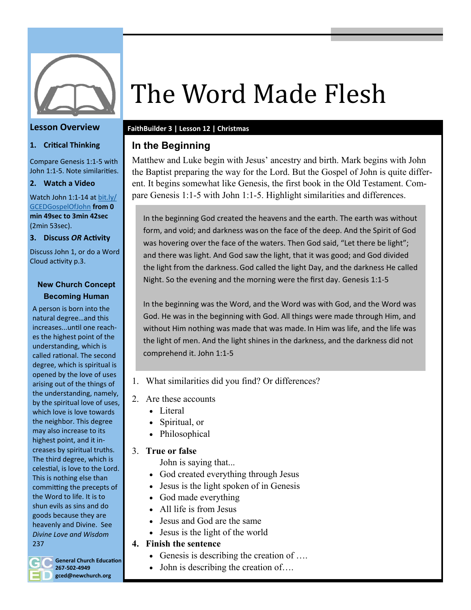

#### **Lesson Overview**

#### **1. Critical Thinking**

Compare Genesis 1:1-5 with John 1:1-5. Note similarities.

**2. Watch a Video**

Watch John 1:1-14 at [bit.ly/](https://www.youtube.com/watch?v=2mgUPt2KI08&t=2499s) [GCEDGospelOfJohn](https://www.youtube.com/watch?v=2mgUPt2KI08&t=2499s) **from 0 min 49sec to 3min 42sec** (2min 53sec).

**3. Discuss** *OR* **Activity**

Discuss John 1, or do a Word Cloud activity p.3.

#### **New Church Concept Becoming Human**

A person is born into the natural degree…and this increases...until one reaches the highest point of the understanding, which is called rational. The second degree, which is spiritual is opened by the love of uses arising out of the things of the understanding, namely, by the spiritual love of uses, which love is love towards the neighbor. This degree may also increase to its highest point, and it increases by spiritual truths. The third degree, which is celestial, is love to the Lord. This is nothing else than committing the precepts of the Word to life. It is to shun evils as sins and do goods because they are heavenly and Divine. See *Divine Love and Wisdom*  237

# The Word Made Flesh

#### **FaithBuilder 3 | Lesson 12 | Christmas**

### **In the Beginning**

Matthew and Luke begin with Jesus' ancestry and birth. Mark begins with John the Baptist preparing the way for the Lord. But the Gospel of John is quite different. It begins somewhat like Genesis, the first book in the Old Testament. Compare Genesis 1:1-5 with John 1:1-5. Highlight similarities and differences.

In the beginning God created the heavens and the earth. The earth was without form, and void; and darkness was on the face of the deep. And the Spirit of God was hovering over the face of the waters. Then God said, "Let there be light"; and there was light. And God saw the light, that it was good; and God divided the light from the darkness.God called the light Day, and the darkness He called Night. So the evening and the morning were the first day. Genesis 1:1-5

In the beginning was the Word, and the Word was with God, and the Word was God. He was in the beginning with God. All things were made through Him, and without Him nothing was made that was made. In Him was life, and the life was the light of men. And the light shines in the darkness, and the darkness did not comprehend it. John 1:1-5

- 1. What similarities did you find? Or differences?
- 2. Are these accounts
	- Literal
	- Spiritual, or
	- Philosophical

#### 3. **True or false**

John is saying that...

- God created everything through Jesus
- Jesus is the light spoken of in Genesis
- God made everything
- All life is from Jesus
- Jesus and God are the same
- Jesus is the light of the world

#### **4. Finish the sentence**

- Genesis is describing the creation of ....
- John is describing the creation of....



**General Church Education 267-502-4949 gced@newchurch.org**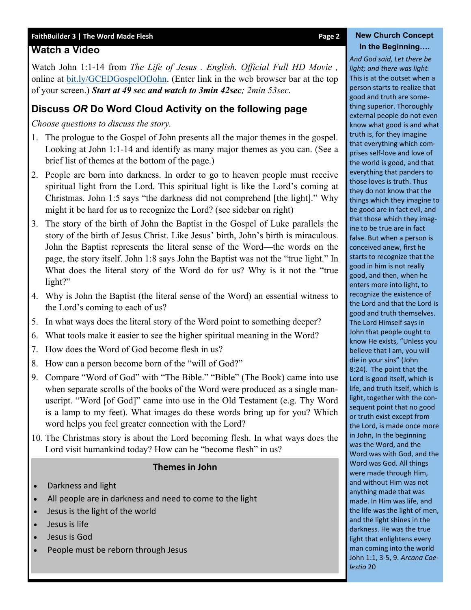#### FaithBuilder 3 | The Word Made Flesh **Page 2 New Church Concept**

#### **Watch a Video**

Watch John 1:1-14 from *The Life of Jesus . English. Official Full HD Movie ,*  online at [bit.ly/GCEDGospelOfJohn.](https://www.youtube.com/watch?v=2mgUPt2KI08&t=2499s) (Enter link in the web browser bar at the top of your screen.) *Start at 49 sec and watch to 3min 42sec; 2min 53sec.*

#### **Discuss** *OR* **Do Word Cloud Activity on the following page**

*Choose questions to discuss the story.*

- 1. The prologue to the Gospel of John presents all the major themes in the gospel. Looking at John 1:1-14 and identify as many major themes as you can. (See a brief list of themes at the bottom of the page.)
- 2. People are born into darkness. In order to go to heaven people must receive spiritual light from the Lord. This spiritual light is like the Lord's coming at Christmas. John 1:5 says "the darkness did not comprehend [the light]." Why might it be hard for us to recognize the Lord? (see sidebar on right)
- 3. The story of the birth of John the Baptist in the Gospel of Luke parallels the story of the birth of Jesus Christ. Like Jesus' birth, John's birth is miraculous. John the Baptist represents the literal sense of the Word—the words on the page, the story itself. John 1:8 says John the Baptist was not the "true light." In What does the literal story of the Word do for us? Why is it not the "true light?"
- 4. Why is John the Baptist (the literal sense of the Word) an essential witness to the Lord's coming to each of us?
- 5. In what ways does the literal story of the Word point to something deeper?
- 6. What tools make it easier to see the higher spiritual meaning in the Word?
- 7. How does the Word of God become flesh in us?
- 8. How can a person become born of the "will of God?"
- 9. Compare "Word of God" with "The Bible." "Bible" (The Book) came into use when separate scrolls of the books of the Word were produced as a single manuscript. "Word [of God]" came into use in the Old Testament (e.g. Thy Word is a lamp to my feet). What images do these words bring up for you? Which word helps you feel greater connection with the Lord?
- 10. The Christmas story is about the Lord becoming flesh. In what ways does the Lord visit humankind today? How can he "become flesh" in us?

#### **Themes in John**

- Darkness and light
- All people are in darkness and need to come to the light
- Jesus is the light of the world
- Jesus is life
- Jesus is God
- People must be reborn through Jesus

## **In the Beginning….**

*And God said, Let there be light; and there was light.*  This is at the outset when a person starts to realize that good and truth are something superior. Thoroughly external people do not even know what good is and what truth is, for they imagine that everything which comprises self-love and love of the world is good, and that everything that panders to those loves is truth. Thus they do not know that the things which they imagine to be good are in fact evil, and that those which they imagine to be true are in fact false. But when a person is conceived anew, first he starts to recognize that the good in him is not really good, and then, when he enters more into light, to recognize the existence of the Lord and that the Lord is good and truth themselves. The Lord Himself says in John that people ought to know He exists, "Unless you believe that I am, you will die in your sins" (John 8:24). The point that the Lord is good itself, which is life, and truth itself, which is light, together with the consequent point that no good or truth exist except from the Lord, is made once more in John, In the beginning was the Word, and the Word was with God, and the Word was God. All things were made through Him, and without Him was not anything made that was made. In Him was life, and the life was the light of men, and the light shines in the darkness. He was the true light that enlightens every man coming into the world John 1:1, 3-5, 9. *Arcana Coelestia* 20